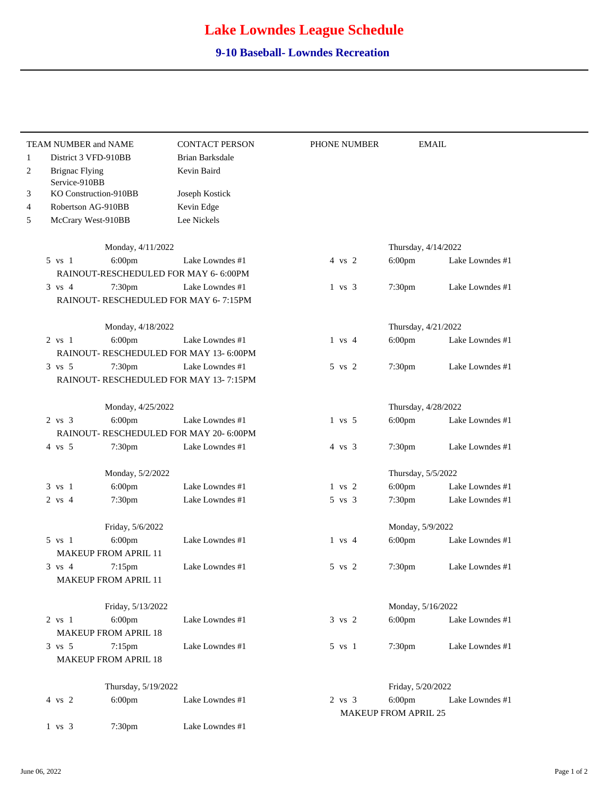## **Lake Lowndes League Schedule**

## **9-10 Baseball- Lowndes Recreation**

|              | <b>TEAM NUMBER and NAME</b>             | <b>CONTACT PERSON</b>  | PHONE NUMBER      |                             | <b>EMAIL</b>    |
|--------------|-----------------------------------------|------------------------|-------------------|-----------------------------|-----------------|
| $\mathbf{1}$ | District 3 VFD-910BB                    | <b>Brian Barksdale</b> |                   |                             |                 |
| 2            | <b>Brignac Flying</b><br>Service-910BB  | Kevin Baird            |                   |                             |                 |
| 3            | KO Construction-910BB<br>Joseph Kostick |                        |                   |                             |                 |
| 4            | Robertson AG-910BB                      | Kevin Edge             |                   |                             |                 |
| 5            | McCrary West-910BB                      | Lee Nickels            |                   |                             |                 |
|              |                                         |                        |                   |                             |                 |
|              | Monday, 4/11/2022                       |                        |                   | Thursday, 4/14/2022         |                 |
|              | 5 vs 1<br>$6:00$ pm                     | Lake Lowndes #1        | 4 vs 2            | $6:00$ pm                   | Lake Lowndes #1 |
|              | RAINOUT-RESCHEDULED FOR MAY 6- 6:00PM   |                        |                   |                             |                 |
|              | $3 \text{ vs } 4$<br>7:30pm             | Lake Lowndes #1        | $1 \text{ vs } 3$ | 7:30pm                      | Lake Lowndes #1 |
|              | RAINOUT- RESCHEDULED FOR MAY 6-7:15PM   |                        |                   |                             |                 |
|              | Monday, 4/18/2022                       |                        |                   | Thursday, 4/21/2022         |                 |
|              | $2 \text{ vs } 1$<br>6:00pm             | Lake Lowndes #1        | $1 \text{ vs } 4$ | $6:00$ pm                   | Lake Lowndes #1 |
|              | RAINOUT-RESCHEDULED FOR MAY 13-6:00PM   |                        |                   |                             |                 |
|              | $3 \text{ vs } 5$<br>7:30pm             | Lake Lowndes #1        | 5 vs 2            | 7:30pm                      | Lake Lowndes #1 |
|              | RAINOUT-RESCHEDULED FOR MAY 13-7:15PM   |                        |                   |                             |                 |
|              | Monday, 4/25/2022                       |                        |                   | Thursday, 4/28/2022         |                 |
|              | $2 \text{ vs } 3$<br>$6:00$ pm          | Lake Lowndes #1        | $1 \text{vs} 5$   | $6:00$ pm                   | Lake Lowndes #1 |
|              | RAINOUT- RESCHEDULED FOR MAY 20- 6:00PM |                        |                   |                             |                 |
|              | $4 \text{vs} 5$<br>7:30pm               | Lake Lowndes #1        | $4 \text{ vs } 3$ | 7:30pm                      | Lake Lowndes #1 |
|              | Monday, 5/2/2022                        |                        |                   | Thursday, 5/5/2022          |                 |
|              | 6:00pm<br>$3 \text{ vs } 1$             | Lake Lowndes #1        | $1$ vs $2$        | $6:00$ pm                   | Lake Lowndes #1 |
|              | $2$ vs 4<br>7:30 <sub>pm</sub>          | Lake Lowndes #1        | 5 vs 3            | 7:30 <sub>pm</sub>          | Lake Lowndes #1 |
|              | Friday, 5/6/2022                        |                        |                   | Monday, 5/9/2022            |                 |
|              | 6:00pm<br>5 vs 1                        | Lake Lowndes #1        | $1 \text{ vs } 4$ | $6:00$ pm                   | Lake Lowndes #1 |
|              | <b>MAKEUP FROM APRIL 11</b>             |                        |                   |                             |                 |
|              | $3 \text{ vs } 4$<br>$7:15$ pm          | Lake Lowndes #1        | 5 vs 2            | 7:30 <sub>pm</sub>          | Lake Lowndes #1 |
|              | MAKEUP FROM APRIL 11                    |                        |                   |                             |                 |
|              | Friday, 5/13/2022                       |                        |                   | Monday, 5/16/2022           |                 |
|              | $6:00$ pm<br>$2$ vs $1$                 | Lake Lowndes #1        | 3 vs 2            | $6:00$ pm                   | Lake Lowndes #1 |
|              | <b>MAKEUP FROM APRIL 18</b>             |                        |                   |                             |                 |
|              | $3 \text{ vs } 5$<br>$7:15$ pm          | Lake Lowndes #1        | 5 vs 1            | 7:30pm                      | Lake Lowndes #1 |
|              | <b>MAKEUP FROM APRIL 18</b>             |                        |                   |                             |                 |
|              | Thursday, 5/19/2022                     |                        |                   | Friday, 5/20/2022           |                 |
|              | $4$ vs $\sqrt{2}$<br>$6:00$ pm          | Lake Lowndes #1        | $2 \text{ vs } 3$ | $6:00$ pm                   | Lake Lowndes #1 |
|              |                                         |                        |                   | <b>MAKEUP FROM APRIL 25</b> |                 |
|              | $1$ vs $3$<br>7:30pm                    | Lake Lowndes #1        |                   |                             |                 |